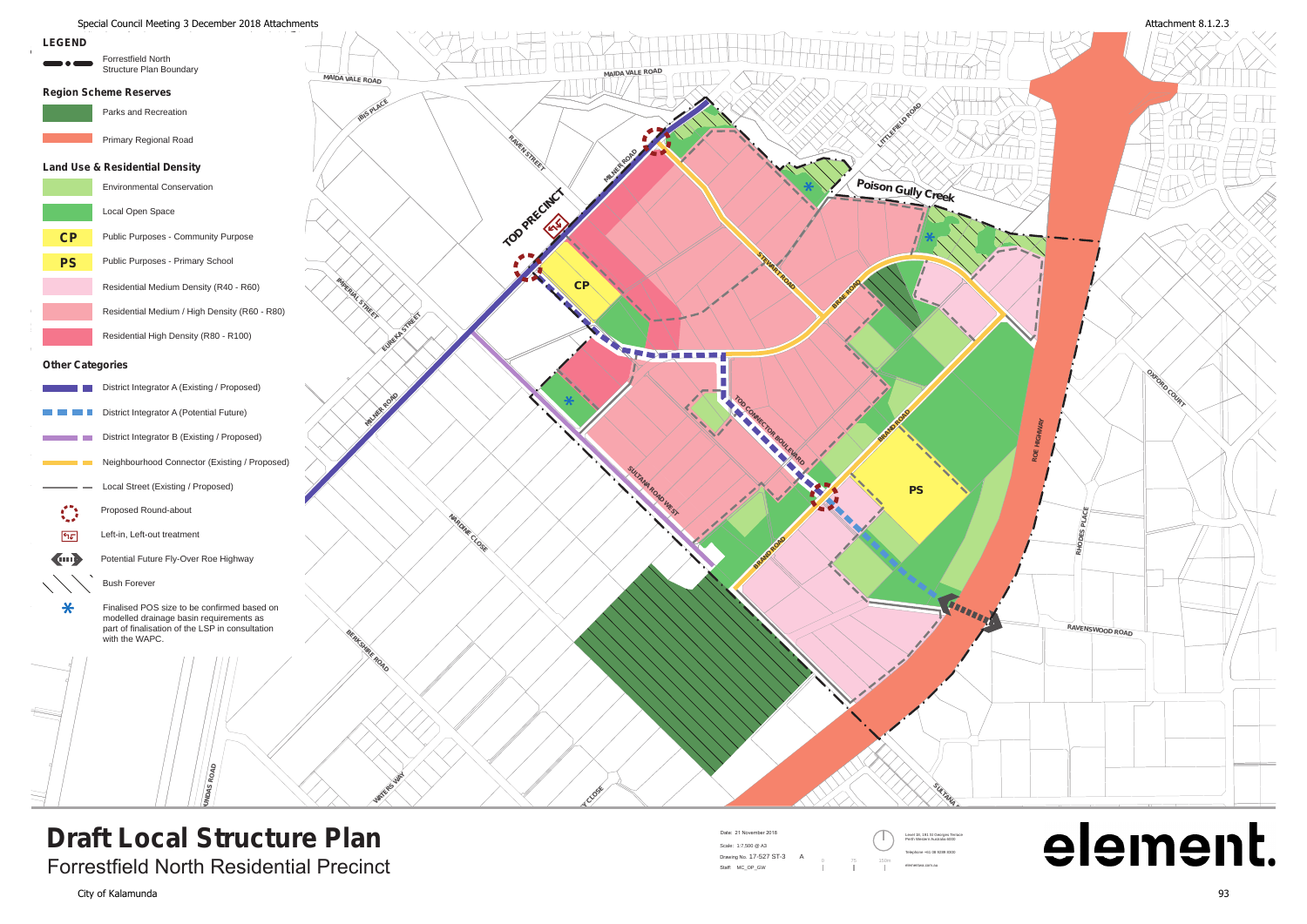**DUNDAS ROAD**

Forrestfield North Residential Precinct



## **Draft Local Structure Plan**



**Bush Forever<br>Finalised POS size to be confirmed based on**<br>which the local part of a continuous processed on modelled drainage basin requirements as part of finalisation of the LSP in consultation with the WAPC.

 $\ast$ 

## element.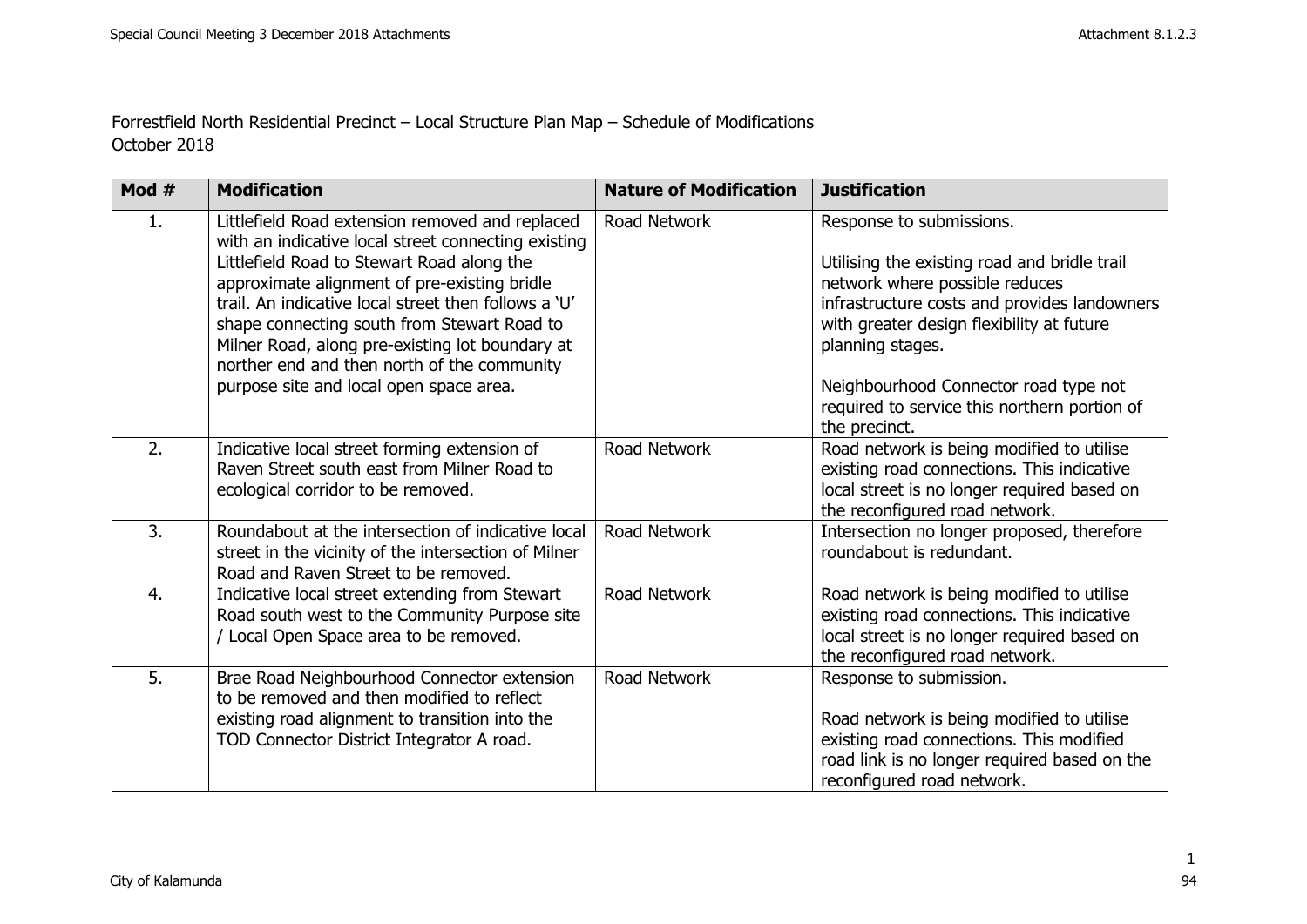Forrestfield North Residential Precinct – Local Structure Plan Map – Schedule of Modifications October 2018

| Mod $#$ | <b>Modification</b>                                                                                                                                                                                                                                                                                                                                                                                                                                      | <b>Nature of Modification</b> | <b>Justification</b>                                                                                                                                                                                                                                                                                                                  |
|---------|----------------------------------------------------------------------------------------------------------------------------------------------------------------------------------------------------------------------------------------------------------------------------------------------------------------------------------------------------------------------------------------------------------------------------------------------------------|-------------------------------|---------------------------------------------------------------------------------------------------------------------------------------------------------------------------------------------------------------------------------------------------------------------------------------------------------------------------------------|
| 1.      | Littlefield Road extension removed and replaced<br>with an indicative local street connecting existing<br>Littlefield Road to Stewart Road along the<br>approximate alignment of pre-existing bridle<br>trail. An indicative local street then follows a 'U'<br>shape connecting south from Stewart Road to<br>Milner Road, along pre-existing lot boundary at<br>norther end and then north of the community<br>purpose site and local open space area. | Road Network                  | Response to submissions.<br>Utilising the existing road and bridle trail<br>network where possible reduces<br>infrastructure costs and provides landowners<br>with greater design flexibility at future<br>planning stages.<br>Neighbourhood Connector road type not<br>required to service this northern portion of<br>the precinct. |
| 2.      | Indicative local street forming extension of<br>Raven Street south east from Milner Road to<br>ecological corridor to be removed.                                                                                                                                                                                                                                                                                                                        | Road Network                  | Road network is being modified to utilise<br>existing road connections. This indicative<br>local street is no longer required based on<br>the reconfigured road network.                                                                                                                                                              |
| 3.      | Roundabout at the intersection of indicative local<br>street in the vicinity of the intersection of Milner<br>Road and Raven Street to be removed.                                                                                                                                                                                                                                                                                                       | Road Network                  | Intersection no longer proposed, therefore<br>roundabout is redundant.                                                                                                                                                                                                                                                                |
| 4.      | Indicative local street extending from Stewart<br>Road south west to the Community Purpose site<br>/ Local Open Space area to be removed.                                                                                                                                                                                                                                                                                                                | Road Network                  | Road network is being modified to utilise<br>existing road connections. This indicative<br>local street is no longer required based on<br>the reconfigured road network.                                                                                                                                                              |
| 5.      | Brae Road Neighbourhood Connector extension<br>to be removed and then modified to reflect<br>existing road alignment to transition into the<br>TOD Connector District Integrator A road.                                                                                                                                                                                                                                                                 | Road Network                  | Response to submission.<br>Road network is being modified to utilise<br>existing road connections. This modified<br>road link is no longer required based on the<br>reconfigured road network.                                                                                                                                        |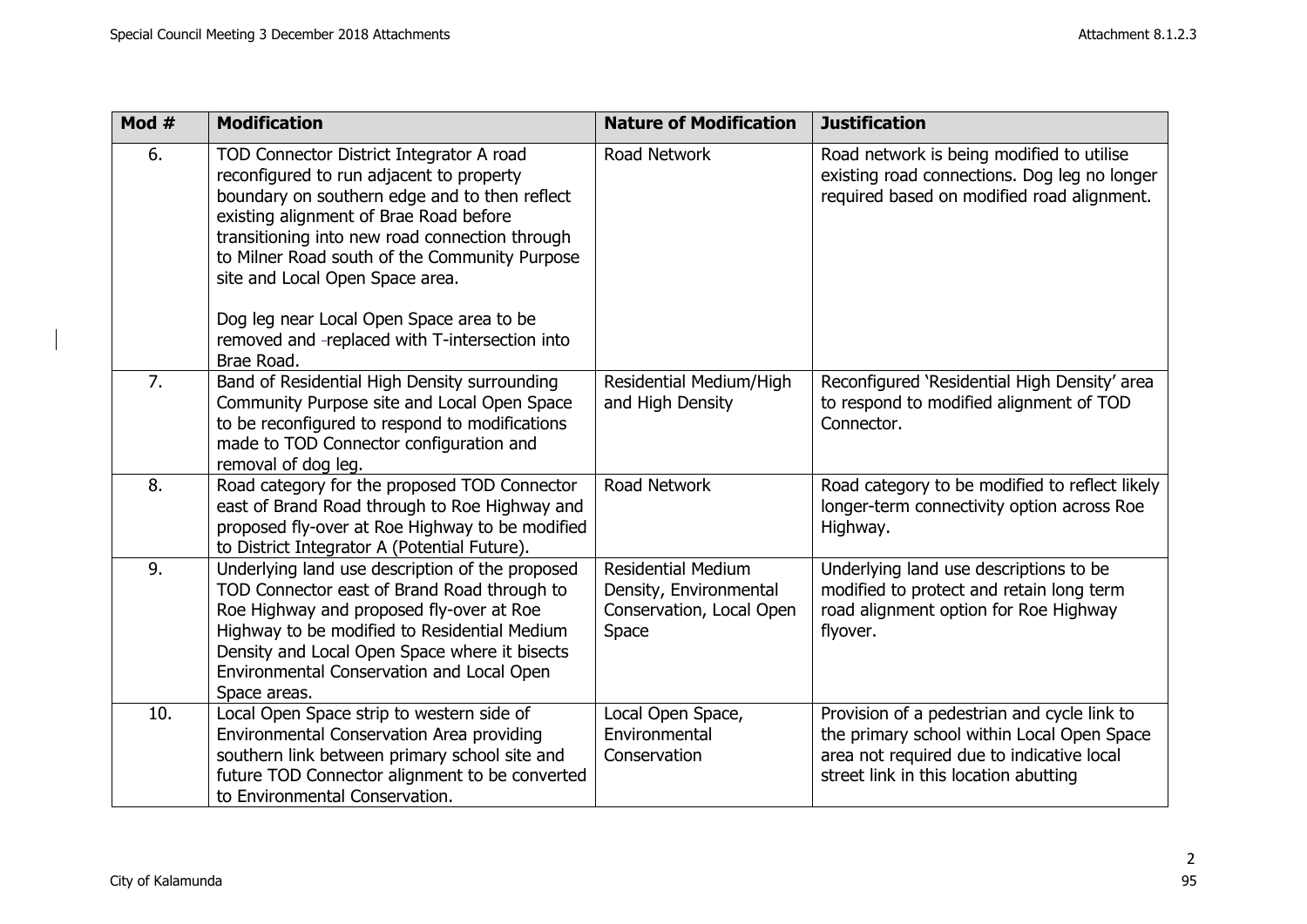| Mod #            | <b>Modification</b>                                                                                                                                                                                                                                                                                                                                                                                                               | <b>Nature of Modification</b>                                                            | <b>Justification</b>                                                                                                                                                            |
|------------------|-----------------------------------------------------------------------------------------------------------------------------------------------------------------------------------------------------------------------------------------------------------------------------------------------------------------------------------------------------------------------------------------------------------------------------------|------------------------------------------------------------------------------------------|---------------------------------------------------------------------------------------------------------------------------------------------------------------------------------|
| 6.               | TOD Connector District Integrator A road<br>reconfigured to run adjacent to property<br>boundary on southern edge and to then reflect<br>existing alignment of Brae Road before<br>transitioning into new road connection through<br>to Milner Road south of the Community Purpose<br>site and Local Open Space area.<br>Dog leg near Local Open Space area to be<br>removed and -replaced with T-intersection into<br>Brae Road. | Road Network                                                                             | Road network is being modified to utilise<br>existing road connections. Dog leg no longer<br>required based on modified road alignment.                                         |
| $\overline{7}$ . | Band of Residential High Density surrounding<br>Community Purpose site and Local Open Space<br>to be reconfigured to respond to modifications<br>made to TOD Connector configuration and<br>removal of dog leg.                                                                                                                                                                                                                   | Residential Medium/High<br>and High Density                                              | Reconfigured 'Residential High Density' area<br>to respond to modified alignment of TOD<br>Connector.                                                                           |
| 8.               | Road category for the proposed TOD Connector<br>east of Brand Road through to Roe Highway and<br>proposed fly-over at Roe Highway to be modified<br>to District Integrator A (Potential Future).                                                                                                                                                                                                                                  | Road Network                                                                             | Road category to be modified to reflect likely<br>longer-term connectivity option across Roe<br>Highway.                                                                        |
| 9.               | Underlying land use description of the proposed<br>TOD Connector east of Brand Road through to<br>Roe Highway and proposed fly-over at Roe<br>Highway to be modified to Residential Medium<br>Density and Local Open Space where it bisects<br>Environmental Conservation and Local Open<br>Space areas.                                                                                                                          | <b>Residential Medium</b><br>Density, Environmental<br>Conservation, Local Open<br>Space | Underlying land use descriptions to be<br>modified to protect and retain long term<br>road alignment option for Roe Highway<br>flyover.                                         |
| 10.              | Local Open Space strip to western side of<br>Environmental Conservation Area providing<br>southern link between primary school site and<br>future TOD Connector alignment to be converted<br>to Environmental Conservation.                                                                                                                                                                                                       | Local Open Space,<br>Environmental<br>Conservation                                       | Provision of a pedestrian and cycle link to<br>the primary school within Local Open Space<br>area not required due to indicative local<br>street link in this location abutting |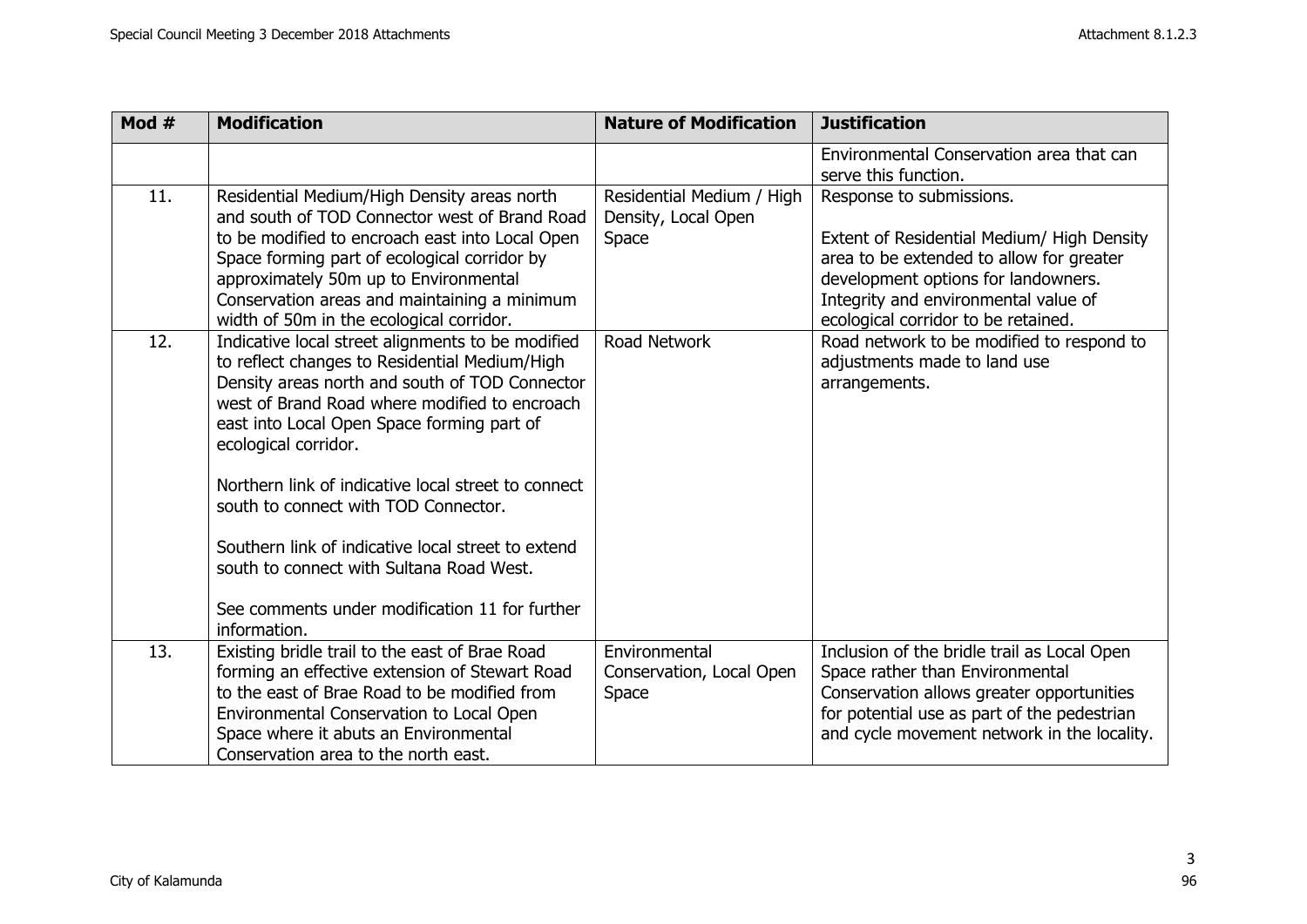| Mod # | <b>Modification</b>                                                                                                                                                                                                                                                                                                                                                                                                                                                                                                                            | <b>Nature of Modification</b>                             | <b>Justification</b>                                                                                                                                                                                                                     |
|-------|------------------------------------------------------------------------------------------------------------------------------------------------------------------------------------------------------------------------------------------------------------------------------------------------------------------------------------------------------------------------------------------------------------------------------------------------------------------------------------------------------------------------------------------------|-----------------------------------------------------------|------------------------------------------------------------------------------------------------------------------------------------------------------------------------------------------------------------------------------------------|
|       |                                                                                                                                                                                                                                                                                                                                                                                                                                                                                                                                                |                                                           | Environmental Conservation area that can<br>serve this function.                                                                                                                                                                         |
| 11.   | Residential Medium/High Density areas north<br>and south of TOD Connector west of Brand Road<br>to be modified to encroach east into Local Open<br>Space forming part of ecological corridor by<br>approximately 50m up to Environmental<br>Conservation areas and maintaining a minimum<br>width of 50m in the ecological corridor.                                                                                                                                                                                                           | Residential Medium / High<br>Density, Local Open<br>Space | Response to submissions.<br>Extent of Residential Medium/ High Density<br>area to be extended to allow for greater<br>development options for landowners.<br>Integrity and environmental value of<br>ecological corridor to be retained. |
| 12.   | Indicative local street alignments to be modified<br>to reflect changes to Residential Medium/High<br>Density areas north and south of TOD Connector<br>west of Brand Road where modified to encroach<br>east into Local Open Space forming part of<br>ecological corridor.<br>Northern link of indicative local street to connect<br>south to connect with TOD Connector.<br>Southern link of indicative local street to extend<br>south to connect with Sultana Road West.<br>See comments under modification 11 for further<br>information. | Road Network                                              | Road network to be modified to respond to<br>adjustments made to land use<br>arrangements.                                                                                                                                               |
| 13.   | Existing bridle trail to the east of Brae Road<br>forming an effective extension of Stewart Road<br>to the east of Brae Road to be modified from<br>Environmental Conservation to Local Open<br>Space where it abuts an Environmental<br>Conservation area to the north east.                                                                                                                                                                                                                                                                  | Environmental<br>Conservation, Local Open<br>Space        | Inclusion of the bridle trail as Local Open<br>Space rather than Environmental<br>Conservation allows greater opportunities<br>for potential use as part of the pedestrian<br>and cycle movement network in the locality.                |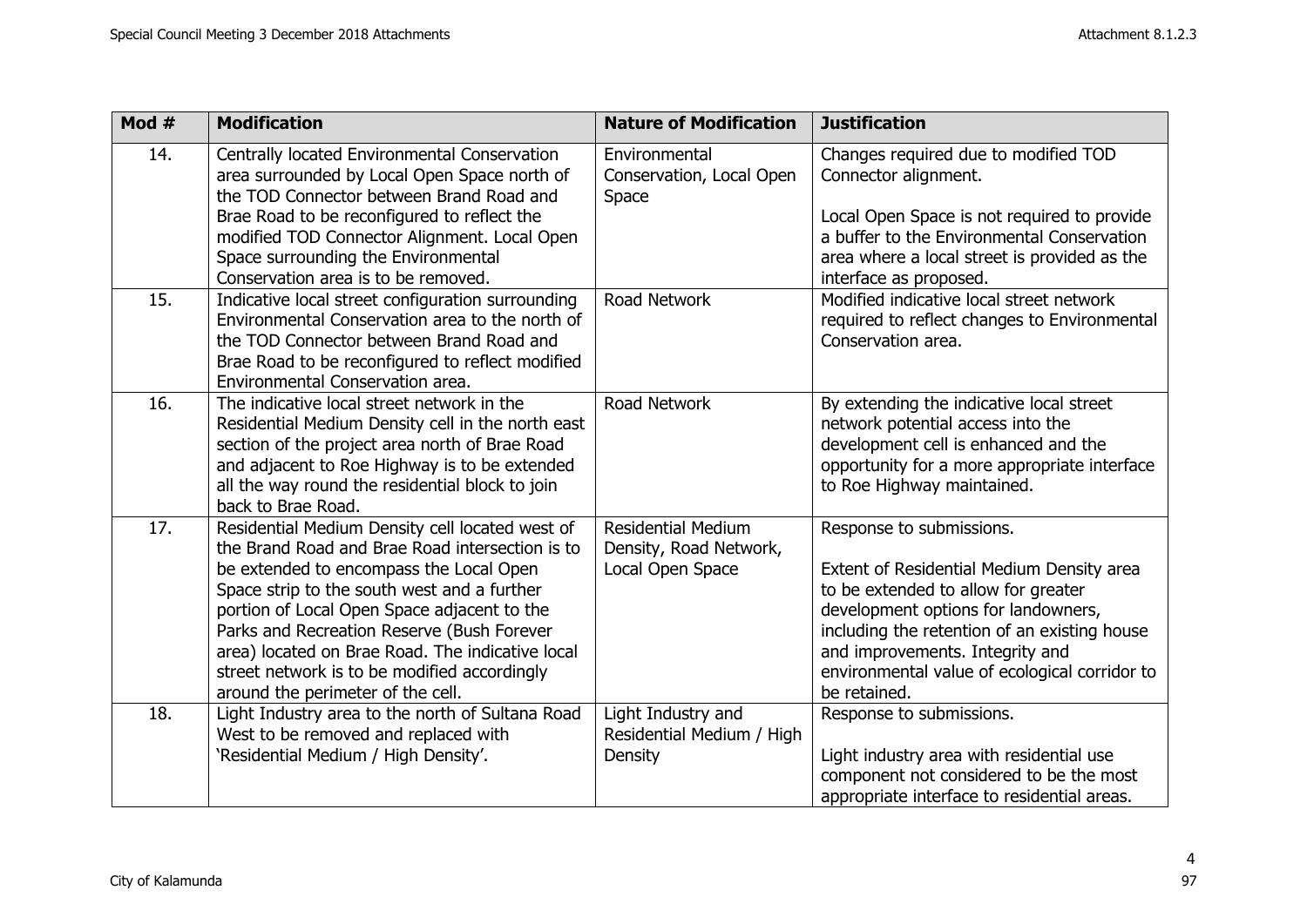| Mod # | <b>Modification</b>                                                                                                                                                                                                                                                                                                                                                                                                                | <b>Nature of Modification</b>                                           | <b>Justification</b>                                                                                                                                                                                                                                                                                    |
|-------|------------------------------------------------------------------------------------------------------------------------------------------------------------------------------------------------------------------------------------------------------------------------------------------------------------------------------------------------------------------------------------------------------------------------------------|-------------------------------------------------------------------------|---------------------------------------------------------------------------------------------------------------------------------------------------------------------------------------------------------------------------------------------------------------------------------------------------------|
| 14.   | Centrally located Environmental Conservation<br>area surrounded by Local Open Space north of<br>the TOD Connector between Brand Road and<br>Brae Road to be reconfigured to reflect the<br>modified TOD Connector Alignment. Local Open<br>Space surrounding the Environmental<br>Conservation area is to be removed.                                                                                                              | Environmental<br>Conservation, Local Open<br>Space                      | Changes required due to modified TOD<br>Connector alignment.<br>Local Open Space is not required to provide<br>a buffer to the Environmental Conservation<br>area where a local street is provided as the<br>interface as proposed.                                                                     |
| 15.   | Indicative local street configuration surrounding<br>Environmental Conservation area to the north of<br>the TOD Connector between Brand Road and<br>Brae Road to be reconfigured to reflect modified<br>Environmental Conservation area.                                                                                                                                                                                           | Road Network                                                            | Modified indicative local street network<br>required to reflect changes to Environmental<br>Conservation area.                                                                                                                                                                                          |
| 16.   | The indicative local street network in the<br>Residential Medium Density cell in the north east<br>section of the project area north of Brae Road<br>and adjacent to Roe Highway is to be extended<br>all the way round the residential block to join<br>back to Brae Road.                                                                                                                                                        | Road Network                                                            | By extending the indicative local street<br>network potential access into the<br>development cell is enhanced and the<br>opportunity for a more appropriate interface<br>to Roe Highway maintained.                                                                                                     |
| 17.   | Residential Medium Density cell located west of<br>the Brand Road and Brae Road intersection is to<br>be extended to encompass the Local Open<br>Space strip to the south west and a further<br>portion of Local Open Space adjacent to the<br>Parks and Recreation Reserve (Bush Forever<br>area) located on Brae Road. The indicative local<br>street network is to be modified accordingly<br>around the perimeter of the cell. | <b>Residential Medium</b><br>Density, Road Network,<br>Local Open Space | Response to submissions.<br>Extent of Residential Medium Density area<br>to be extended to allow for greater<br>development options for landowners,<br>including the retention of an existing house<br>and improvements. Integrity and<br>environmental value of ecological corridor to<br>be retained. |
| 18.   | Light Industry area to the north of Sultana Road<br>West to be removed and replaced with<br>'Residential Medium / High Density'.                                                                                                                                                                                                                                                                                                   | Light Industry and<br>Residential Medium / High<br>Density              | Response to submissions.<br>Light industry area with residential use<br>component not considered to be the most<br>appropriate interface to residential areas.                                                                                                                                          |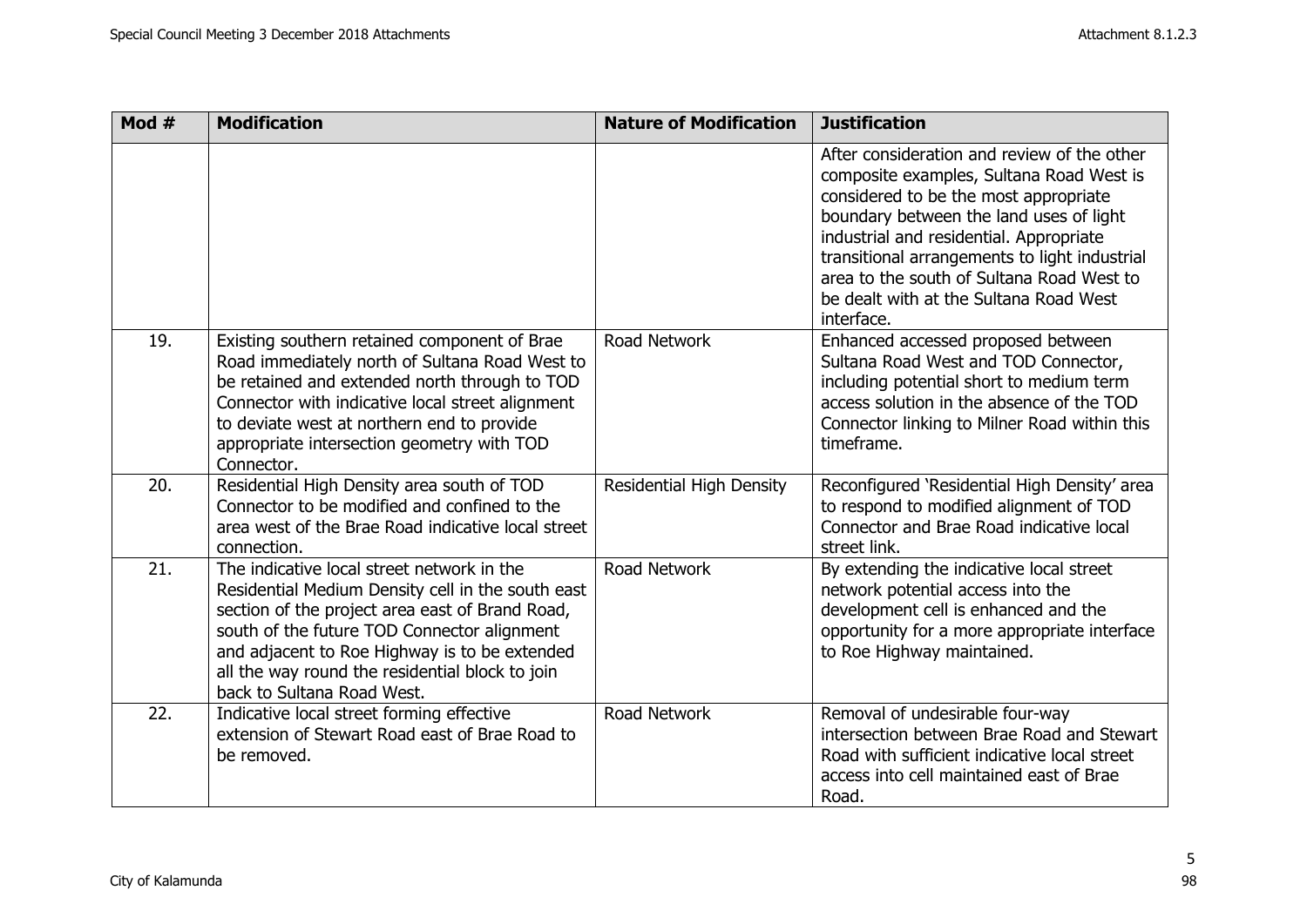| Mod # | <b>Modification</b>                                                                                                                                                                                                                                                                                                                 | <b>Nature of Modification</b>   | <b>Justification</b>                                                                                                                                                                                                                                                                                                                                                         |
|-------|-------------------------------------------------------------------------------------------------------------------------------------------------------------------------------------------------------------------------------------------------------------------------------------------------------------------------------------|---------------------------------|------------------------------------------------------------------------------------------------------------------------------------------------------------------------------------------------------------------------------------------------------------------------------------------------------------------------------------------------------------------------------|
|       |                                                                                                                                                                                                                                                                                                                                     |                                 | After consideration and review of the other<br>composite examples, Sultana Road West is<br>considered to be the most appropriate<br>boundary between the land uses of light<br>industrial and residential. Appropriate<br>transitional arrangements to light industrial<br>area to the south of Sultana Road West to<br>be dealt with at the Sultana Road West<br>interface. |
| 19.   | Existing southern retained component of Brae<br>Road immediately north of Sultana Road West to<br>be retained and extended north through to TOD<br>Connector with indicative local street alignment<br>to deviate west at northern end to provide<br>appropriate intersection geometry with TOD<br>Connector.                       | Road Network                    | Enhanced accessed proposed between<br>Sultana Road West and TOD Connector,<br>including potential short to medium term<br>access solution in the absence of the TOD<br>Connector linking to Milner Road within this<br>timeframe.                                                                                                                                            |
| 20.   | Residential High Density area south of TOD<br>Connector to be modified and confined to the<br>area west of the Brae Road indicative local street<br>connection.                                                                                                                                                                     | <b>Residential High Density</b> | Reconfigured 'Residential High Density' area<br>to respond to modified alignment of TOD<br>Connector and Brae Road indicative local<br>street link.                                                                                                                                                                                                                          |
| 21.   | The indicative local street network in the<br>Residential Medium Density cell in the south east<br>section of the project area east of Brand Road,<br>south of the future TOD Connector alignment<br>and adjacent to Roe Highway is to be extended<br>all the way round the residential block to join<br>back to Sultana Road West. | Road Network                    | By extending the indicative local street<br>network potential access into the<br>development cell is enhanced and the<br>opportunity for a more appropriate interface<br>to Roe Highway maintained.                                                                                                                                                                          |
| 22.   | Indicative local street forming effective<br>extension of Stewart Road east of Brae Road to<br>be removed.                                                                                                                                                                                                                          | Road Network                    | Removal of undesirable four-way<br>intersection between Brae Road and Stewart<br>Road with sufficient indicative local street<br>access into cell maintained east of Brae<br>Road.                                                                                                                                                                                           |